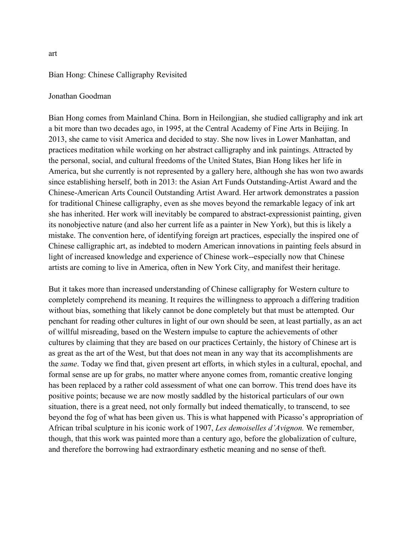## Bian Hong: Chinese Calligraphy Revisited

## Jonathan Goodman

Bian Hong comes from Mainland China. Born in Heilongjian, she studied calligraphy and ink art a bit more than two decades ago, in 1995, at the Central Academy of Fine Arts in Beijing. In 2013, she came to visit America and decided to stay. She now lives in Lower Manhattan, and practices meditation while working on her abstract calligraphy and ink paintings. Attracted by the personal, social, and cultural freedoms of the United States, Bian Hong likes her life in America, but she currently is not represented by a gallery here, although she has won two awards since establishing herself, both in 2013: the Asian Art Funds Outstanding-Artist Award and the Chinese-American Arts Council Outstanding Artist Award. Her artwork demonstrates a passion for traditional Chinese calligraphy, even as she moves beyond the remarkable legacy of ink art she has inherited. Her work will inevitably be compared to abstract-expressionist painting, given its nonobjective nature (and also her current life as a painter in New York), but this is likely a mistake. The convention here, of identifying foreign art practices, especially the inspired one of Chinese calligraphic art, as indebted to modern American innovations in painting feels absurd in light of increased knowledge and experience of Chinese work--especially now that Chinese artists are coming to live in America, often in New York City, and manifest their heritage.

But it takes more than increased understanding of Chinese calligraphy for Western culture to completely comprehend its meaning. It requires the willingness to approach a differing tradition without bias, something that likely cannot be done completely but that must be attempted. Our penchant for reading other cultures in light of our own should be seen, at least partially, as an act of willful misreading, based on the Western impulse to capture the achievements of other cultures by claiming that they are based on our practices Certainly, the history of Chinese art is as great as the art of the West, but that does not mean in any way that its accomplishments are the *same*. Today we find that, given present art efforts, in which styles in a cultural, epochal, and formal sense are up for grabs, no matter where anyone comes from, romantic creative longing has been replaced by a rather cold assessment of what one can borrow. This trend does have its positive points; because we are now mostly saddled by the historical particulars of our own situation, there is a great need, not only formally but indeed thematically, to transcend, to see beyond the fog of what has been given us. This is what happened with Picasso's appropriation of African tribal sculpture in his iconic work of 1907, *Les demoiselles d'Avignon.* We remember, though, that this work was painted more than a century ago, before the globalization of culture, and therefore the borrowing had extraordinary esthetic meaning and no sense of theft.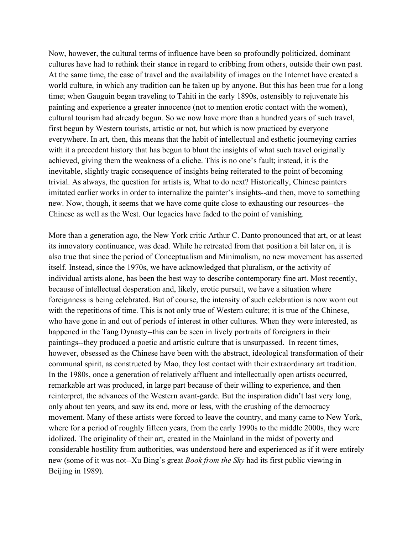Now, however, the cultural terms of influence have been so profoundly politicized, dominant cultures have had to rethink their stance in regard to cribbing from others, outside their own past. At the same time, the ease of travel and the availability of images on the Internet have created a world culture, in which any tradition can be taken up by anyone. But this has been true for a long time; when Gauguin began traveling to Tahiti in the early 1890s, ostensibly to rejuvenate his painting and experience a greater innocence (not to mention erotic contact with the women), cultural tourism had already begun. So we now have more than a hundred years of such travel, first begun by Western tourists, artistic or not, but which is now practiced by everyone everywhere. In art, then, this means that the habit of intellectual and esthetic journeying carries with it a precedent history that has begun to blunt the insights of what such travel originally achieved, giving them the weakness of a cliche. This is no one's fault; instead, it is the inevitable, slightly tragic consequence of insights being reiterated to the point of becoming trivial. As always, the question for artists is, What to do next? Historically, Chinese painters imitated earlier works in order to internalize the painter's insights--and then, move to something new. Now, though, it seems that we have come quite close to exhausting our resources--the Chinese as well as the West. Our legacies have faded to the point of vanishing.

More than a generation ago, the New York critic Arthur C. Danto pronounced that art, or at least its innovatory continuance, was dead. While he retreated from that position a bit later on, it is also true that since the period of Conceptualism and Minimalism, no new movement has asserted itself. Instead, since the 1970s, we have acknowledged that pluralism, or the activity of individual artists alone, has been the best way to describe contemporary fine art. Most recently, because of intellectual desperation and, likely, erotic pursuit, we have a situation where foreignness is being celebrated. But of course, the intensity of such celebration is now worn out with the repetitions of time. This is not only true of Western culture; it is true of the Chinese, who have gone in and out of periods of interest in other cultures. When they were interested, as happened in the Tang Dynasty--this can be seen in lively portraits of foreigners in their paintings--they produced a poetic and artistic culture that is unsurpassed. In recent times, however, obsessed as the Chinese have been with the abstract, ideological transformation of their communal spirit, as constructed by Mao, they lost contact with their extraordinary art tradition. In the 1980s, once a generation of relatively affluent and intellectually open artists occurred, remarkable art was produced, in large part because of their willing to experience, and then reinterpret, the advances of the Western avant-garde. But the inspiration didn't last very long, only about ten years, and saw its end, more or less, with the crushing of the democracy movement. Many of these artists were forced to leave the country, and many came to New York, where for a period of roughly fifteen years, from the early 1990s to the middle 2000s, they were idolized. The originality of their art, created in the Mainland in the midst of poverty and considerable hostility from authorities, was understood here and experienced as if it were entirely new (some of it was not--Xu Bing's great *Book from the Sky* had its first public viewing in Beijing in 1989).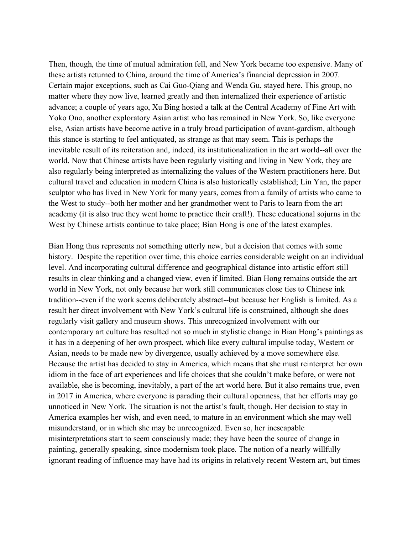Then, though, the time of mutual admiration fell, and New York became too expensive. Many of these artists returned to China, around the time of America's financial depression in 2007. Certain major exceptions, such as Cai Guo-Qiang and Wenda Gu, stayed here. This group, no matter where they now live, learned greatly and then internalized their experience of artistic advance; a couple of years ago, Xu Bing hosted a talk at the Central Academy of Fine Art with Yoko Ono, another exploratory Asian artist who has remained in New York. So, like everyone else, Asian artists have become active in a truly broad participation of avant-gardism, although this stance is starting to feel antiquated, as strange as that may seem. This is perhaps the inevitable result of its reiteration and, indeed, its institutionalization in the art world--all over the world. Now that Chinese artists have been regularly visiting and living in New York, they are also regularly being interpreted as internalizing the values of the Western practitioners here. But cultural travel and education in modern China is also historically established; Lin Yan, the paper sculptor who has lived in New York for many years, comes from a family of artists who came to the West to study--both her mother and her grandmother went to Paris to learn from the art academy (it is also true they went home to practice their craft!). These educational sojurns in the West by Chinese artists continue to take place; Bian Hong is one of the latest examples.

Bian Hong thus represents not something utterly new, but a decision that comes with some history. Despite the repetition over time, this choice carries considerable weight on an individual level. And incorporating cultural difference and geographical distance into artistic effort still results in clear thinking and a changed view, even if limited. Bian Hong remains outside the art world in New York, not only because her work still communicates close ties to Chinese ink tradition--even if the work seems deliberately abstract--but because her English is limited. As a result her direct involvement with New York's cultural life is constrained, although she does regularly visit gallery and museum shows. This unrecognized involvement with our contemporary art culture has resulted not so much in stylistic change in Bian Hong's paintings as it has in a deepening of her own prospect, which like every cultural impulse today, Western or Asian, needs to be made new by divergence, usually achieved by a move somewhere else. Because the artist has decided to stay in America, which means that she must reinterpret her own idiom in the face of art experiences and life choices that she couldn't make before, or were not available, she is becoming, inevitably, a part of the art world here. But it also remains true, even in 2017 in America, where everyone is parading their cultural openness, that her efforts may go unnoticed in New York. The situation is not the artist's fault, though. Her decision to stay in America examples her wish, and even need, to mature in an environment which she may well misunderstand, or in which she may be unrecognized. Even so, her inescapable misinterpretations start to seem consciously made; they have been the source of change in painting, generally speaking, since modernism took place. The notion of a nearly willfully ignorant reading of influence may have had its origins in relatively recent Western art, but times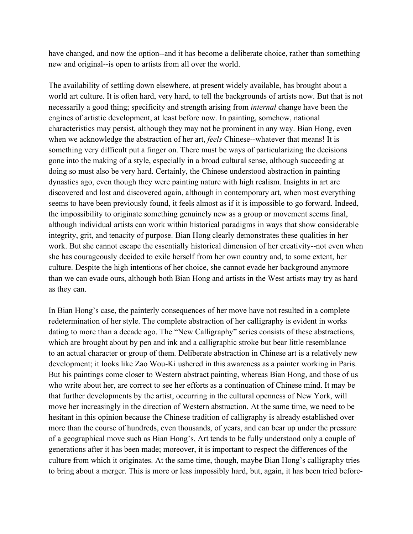have changed, and now the option--and it has become a deliberate choice, rather than something new and original--is open to artists from all over the world.

The availability of settling down elsewhere, at present widely available, has brought about a world art culture. It is often hard, very hard, to tell the backgrounds of artists now. But that is not necessarily a good thing; specificity and strength arising from *internal* change have been the engines of artistic development, at least before now. In painting, somehow, national characteristics may persist, although they may not be prominent in any way. Bian Hong, even when we acknowledge the abstraction of her art, *feels* Chinese--whatever that means! It is something very difficult put a finger on. There must be ways of particularizing the decisions gone into the making of a style, especially in a broad cultural sense, although succeeding at doing so must also be very hard. Certainly, the Chinese understood abstraction in painting dynasties ago, even though they were painting nature with high realism. Insights in art are discovered and lost and discovered again, although in contemporary art, when most everything seems to have been previously found, it feels almost as if it is impossible to go forward. Indeed, the impossibility to originate something genuinely new as a group or movement seems final, although individual artists can work within historical paradigms in ways that show considerable integrity, grit, and tenacity of purpose. Bian Hong clearly demonstrates these qualities in her work. But she cannot escape the essentially historical dimension of her creativity--not even when she has courageously decided to exile herself from her own country and, to some extent, her culture. Despite the high intentions of her choice, she cannot evade her background anymore than we can evade ours, although both Bian Hong and artists in the West artists may try as hard as they can.

In Bian Hong's case, the painterly consequences of her move have not resulted in a complete redetermination of her style. The complete abstraction of her calligraphy is evident in works dating to more than a decade ago. The "New Calligraphy" series consists of these abstractions, which are brought about by pen and ink and a calligraphic stroke but bear little resemblance to an actual character or group of them. Deliberate abstraction in Chinese art is a relatively new development; it looks like Zao Wou-Ki ushered in this awareness as a painter working in Paris. But his paintings come closer to Western abstract painting, whereas Bian Hong, and those of us who write about her, are correct to see her efforts as a continuation of Chinese mind. It may be that further developments by the artist, occurring in the cultural openness of New York, will move her increasingly in the direction of Western abstraction. At the same time, we need to be hesitant in this opinion because the Chinese tradition of calligraphy is already established over more than the course of hundreds, even thousands, of years, and can bear up under the pressure of a geographical move such as Bian Hong's. Art tends to be fully understood only a couple of generations after it has been made; moreover, it is important to respect the differences of the culture from which it originates. At the same time, though, maybe Bian Hong's calligraphy tries to bring about a merger. This is more or less impossibly hard, but, again, it has been tried before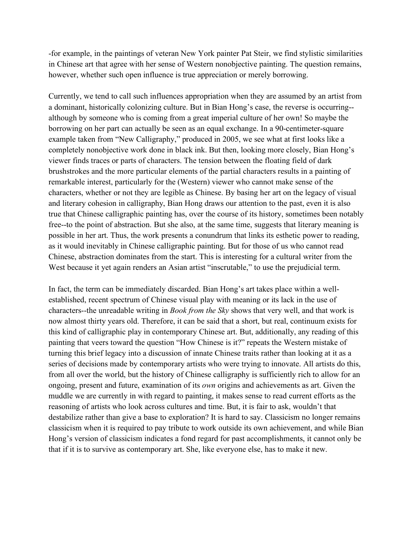-for example, in the paintings of veteran New York painter Pat Steir, we find stylistic similarities in Chinese art that agree with her sense of Western nonobjective painting. The question remains, however, whether such open influence is true appreciation or merely borrowing.

Currently, we tend to call such influences appropriation when they are assumed by an artist from a dominant, historically colonizing culture. But in Bian Hong's case, the reverse is occurring- although by someone who is coming from a great imperial culture of her own! So maybe the borrowing on her part can actually be seen as an equal exchange. In a 90-centimeter-square example taken from "New Calligraphy," produced in 2005, we see what at first looks like a completely nonobjective work done in black ink. But then, looking more closely, Bian Hong's viewer finds traces or parts of characters. The tension between the floating field of dark brushstrokes and the more particular elements of the partial characters results in a painting of remarkable interest, particularly for the (Western) viewer who cannot make sense of the characters, whether or not they are legible as Chinese. By basing her art on the legacy of visual and literary cohesion in calligraphy, Bian Hong draws our attention to the past, even it is also true that Chinese calligraphic painting has, over the course of its history, sometimes been notably free--to the point of abstraction. But she also, at the same time, suggests that literary meaning is possible in her art. Thus, the work presents a conundrum that links its esthetic power to reading, as it would inevitably in Chinese calligraphic painting. But for those of us who cannot read Chinese, abstraction dominates from the start. This is interesting for a cultural writer from the West because it yet again renders an Asian artist "inscrutable," to use the prejudicial term.

In fact, the term can be immediately discarded. Bian Hong's art takes place within a wellestablished, recent spectrum of Chinese visual play with meaning or its lack in the use of characters--the unreadable writing in *Book from the Sky* shows that very well, and that work is now almost thirty years old. Therefore, it can be said that a short, but real, continuum exists for this kind of calligraphic play in contemporary Chinese art. But, additionally, any reading of this painting that veers toward the question "How Chinese is it?" repeats the Western mistake of turning this brief legacy into a discussion of innate Chinese traits rather than looking at it as a series of decisions made by contemporary artists who were trying to innovate. All artists do this, from all over the world, but the history of Chinese calligraphy is sufficiently rich to allow for an ongoing, present and future, examination of its *own* origins and achievements as art. Given the muddle we are currently in with regard to painting, it makes sense to read current efforts as the reasoning of artists who look across cultures and time. But, it is fair to ask, wouldn't that destabilize rather than give a base to exploration? It is hard to say. Classicism no longer remains classicism when it is required to pay tribute to work outside its own achievement, and while Bian Hong's version of classicism indicates a fond regard for past accomplishments, it cannot only be that if it is to survive as contemporary art. She, like everyone else, has to make it new.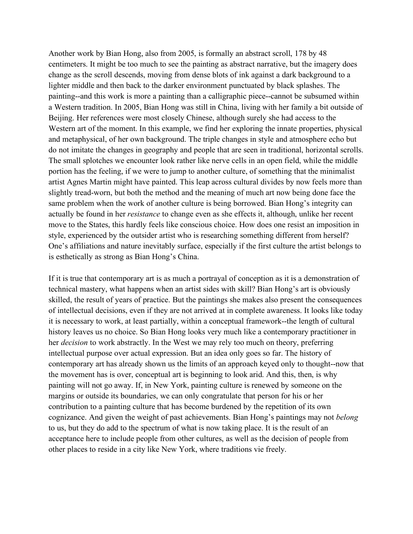Another work by Bian Hong, also from 2005, is formally an abstract scroll, 178 by 48 centimeters. It might be too much to see the painting as abstract narrative, but the imagery does change as the scroll descends, moving from dense blots of ink against a dark background to a lighter middle and then back to the darker environment punctuated by black splashes. The painting--and this work is more a painting than a calligraphic piece--cannot be subsumed within a Western tradition. In 2005, Bian Hong was still in China, living with her family a bit outside of Beijing. Her references were most closely Chinese, although surely she had access to the Western art of the moment. In this example, we find her exploring the innate properties, physical and metaphysical, of her own background. The triple changes in style and atmosphere echo but do not imitate the changes in geography and people that are seen in traditional, horizontal scrolls. The small splotches we encounter look rather like nerve cells in an open field, while the middle portion has the feeling, if we were to jump to another culture, of something that the minimalist artist Agnes Martin might have painted. This leap across cultural divides by now feels more than slightly tread-worn, but both the method and the meaning of much art now being done face the same problem when the work of another culture is being borrowed. Bian Hong's integrity can actually be found in her *resistance* to change even as she effects it, although, unlike her recent move to the States, this hardly feels like conscious choice. How does one resist an imposition in style, experienced by the outsider artist who is researching something different from herself? One's affiliations and nature inevitably surface, especially if the first culture the artist belongs to is esthetically as strong as Bian Hong's China.

If it is true that contemporary art is as much a portrayal of conception as it is a demonstration of technical mastery, what happens when an artist sides with skill? Bian Hong's art is obviously skilled, the result of years of practice. But the paintings she makes also present the consequences of intellectual decisions, even if they are not arrived at in complete awareness. It looks like today it is necessary to work, at least partially, within a conceptual framework--the length of cultural history leaves us no choice. So Bian Hong looks very much like a contemporary practitioner in her *decision* to work abstractly. In the West we may rely too much on theory, preferring intellectual purpose over actual expression. But an idea only goes so far. The history of contemporary art has already shown us the limits of an approach keyed only to thought--now that the movement has is over, conceptual art is beginning to look arid. And this, then, is why painting will not go away. If, in New York, painting culture is renewed by someone on the margins or outside its boundaries, we can only congratulate that person for his or her contribution to a painting culture that has become burdened by the repetition of its own cognizance. And given the weight of past achievements. Bian Hong's paintings may not *belong*  to us, but they do add to the spectrum of what is now taking place. It is the result of an acceptance here to include people from other cultures, as well as the decision of people from other places to reside in a city like New York, where traditions vie freely.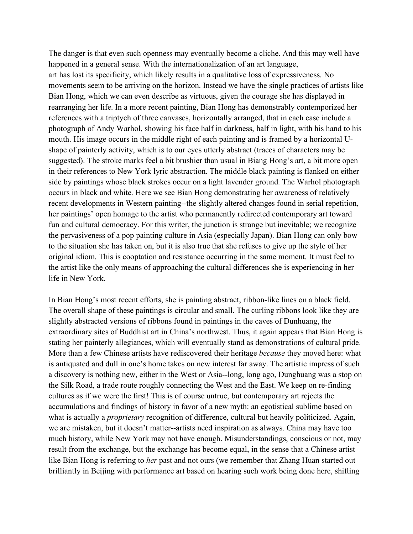The danger is that even such openness may eventually become a cliche. And this may well have happened in a general sense. With the internationalization of an art language, art has lost its specificity, which likely results in a qualitative loss of expressiveness. No movements seem to be arriving on the horizon. Instead we have the single practices of artists like Bian Hong, which we can even describe as virtuous, given the courage she has displayed in rearranging her life. In a more recent painting, Bian Hong has demonstrably contemporized her references with a triptych of three canvases, horizontally arranged, that in each case include a photograph of Andy Warhol, showing his face half in darkness, half in light, with his hand to his mouth. His image occurs in the middle right of each painting and is framed by a horizontal Ushape of painterly activity, which is to our eyes utterly abstract (traces of characters may be suggested). The stroke marks feel a bit brushier than usual in Biang Hong's art, a bit more open in their references to New York lyric abstraction. The middle black painting is flanked on either side by paintings whose black strokes occur on a light lavender ground. The Warhol photograph occurs in black and white. Here we see Bian Hong demonstrating her awareness of relatively recent developments in Western painting--the slightly altered changes found in serial repetition, her paintings' open homage to the artist who permanently redirected contemporary art toward fun and cultural democracy. For this writer, the junction is strange but inevitable; we recognize the pervasiveness of a pop painting culture in Asia (especially Japan). Bian Hong can only bow to the situation she has taken on, but it is also true that she refuses to give up the style of her original idiom. This is cooptation and resistance occurring in the same moment. It must feel to the artist like the only means of approaching the cultural differences she is experiencing in her life in New York.

In Bian Hong's most recent efforts, she is painting abstract, ribbon-like lines on a black field. The overall shape of these paintings is circular and small. The curling ribbons look like they are slightly abstracted versions of ribbons found in paintings in the caves of Dunhuang, the extraordinary sites of Buddhist art in China's northwest. Thus, it again appears that Bian Hong is stating her painterly allegiances, which will eventually stand as demonstrations of cultural pride. More than a few Chinese artists have rediscovered their heritage *because* they moved here: what is antiquated and dull in one's home takes on new interest far away. The artistic impress of such a discovery is nothing new, either in the West or Asia--long, long ago, Dunghuang was a stop on the Silk Road, a trade route roughly connecting the West and the East. We keep on re-finding cultures as if we were the first! This is of course untrue, but contemporary art rejects the accumulations and findings of history in favor of a new myth: an egotistical sublime based on what is actually a *proprietary* recognition of difference, cultural but heavily politicized. Again, we are mistaken, but it doesn't matter--artists need inspiration as always. China may have too much history, while New York may not have enough. Misunderstandings, conscious or not, may result from the exchange, but the exchange has become equal, in the sense that a Chinese artist like Bian Hong is referring to *her* past and not ours (we remember that Zhang Huan started out brilliantly in Beijing with performance art based on hearing such work being done here, shifting